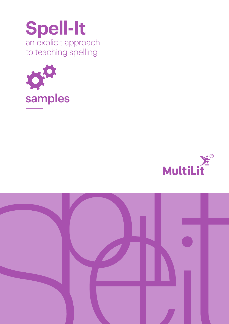





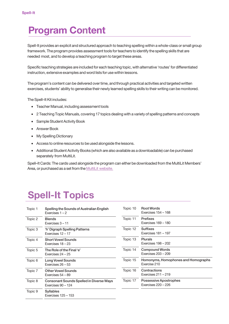# Program Content

Spell-It provides an explicit and structured approach to teaching spelling within a whole-class or small group framework. The program provides assessment tools forteachers to identify the spelling skills that are needed most, and to develop a teaching program to target these areas.

Specific teaching strategies are included for each teaching topic, with alternative 'routes' for differentiated instruction, extensive examples and word lists for use within lessons.

The program's content can be delivered overtime, and through practical activities and targeted written exercises, students' ability to generalise their newly learned spelling skills to their writing can be monitored.

The Spell-It Kit includes:

- Teacher Manual, including assessment tools
- 2 Teaching Topic Manuals, covering 17 topics dealing with a variety of spelling patterns and concepts
- Sample Student Activity Book
- Answer Book
- My Spelling Dictionary
- Access to online resources to be used alongside the lessons.
- Additional Student Activity Books (which are also available as a downloadable) can be purchased separately from MultiLit.

Spell–It Cards: The cards used alongside the program can either be downloaded from the MultiLit Members' Area, or purchased as a set from the [MultiLit website](https://multilit.com/product/pspe009/).

# Spell-It Topics

| Topic 1 | Spelling the Sounds of Australian English<br>Exercises $1 - 2$        | Topic 10 | <b>Root Words</b><br>Exercises 15 |
|---------|-----------------------------------------------------------------------|----------|-----------------------------------|
| Topic 2 | <b>Blends</b><br>Exercises $3 - 11$                                   | Topic 11 | <b>Prefixes</b><br>Exercises 16   |
| Topic 3 | 'h' Digraph Spelling Patterns<br>Exercises 12 - 17                    | Topic 12 | <b>Suffixes</b><br>Exercises 18   |
| Topic 4 | <b>Short Vowel Sounds</b><br>Exercises $18 - 23$                      | Topic 13 | <b>Plurals</b><br>Exercises 19    |
| Topic 5 | The Role of the Final 'e'<br>Exercises $24 - 25$                      | Topic 14 | Compound<br>Exercises 20          |
| Topic 6 | <b>Long Vowel Sounds</b><br>Exercises $26 - 53$                       | Topic 15 | Homonyms<br>Exercise 210          |
| Topic 7 | <b>Other Vowel Sounds</b><br>Exercises 54 - 89                        | Topic 16 | Contractior<br>Exercises 21       |
| Topic 8 | <b>Consonant Sounds Spelled in Diverse Ways</b><br>Exercises 90 - 124 | Topic 17 | Possessive<br>Exercises 22        |
| Topic 9 | Syllables<br>Exercises 125 - 153                                      |          |                                   |
|         |                                                                       |          |                                   |

| Topic 10 | <b>Root Words</b><br><b>Exercises 154 - 168</b>      |
|----------|------------------------------------------------------|
| Topic 11 | <b>Prefixes</b><br>Exercises 169 - 180               |
| Topic 12 | <b>Suffixes</b><br><b>Exercises 181 - 197</b>        |
| Topic 13 | Plurals<br>Exercises 198 - 202                       |
| Topic 14 | <b>Compound Words</b><br><b>Exercises 203 – 209</b>  |
| Topic 15 | Homonyms, Homophones and Homographs<br>Fxercise 210  |
| Topic 16 | Contractions<br><b>Exercises 211 - 219</b>           |
| Topic 17 | Possessive Apostrophes<br><b>Exercises 220 - 226</b> |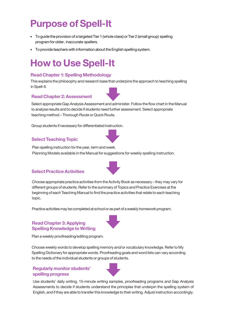# Purpose of Spell-It

- To quide the provision of a targeted Tier 1 (whole class) or Tier 2 (small group) spelling program for older, inaccurate spellers.
- To provide teachers with information about the English spelling system.

# How to Use Spell-It

## Read Chapter 1: Spelling Methodology

This explains the philosophy and research base that underpins the approach to teaching spelling inSpell-It.

### Read Chapter 2: Assessment

Select appropriate Gap Analysis Assessment and administer. Follow the flow chart in the Manual to analyse results and to decide if students need further assessment. Select appropriate teaching method - Thorough Route or Quick Route.

Group students if necessary for differentiated instruction.

## Select Teaching Topic

Plan spelling instruction for the year, term and week. Planning Models available in the Manual for suggestions for weekly spelling instruction.

### Select Practice Activities

Choose appropriate practice activities from the Activity Book as necessary – they may vary for different groups of students. Refer to the summary of Topics and Practice Exercises at the beginning of each Teaching Manual to find the practice activities that relate to each teaching topic.

Practice activities may be completed at school or as part of a weekly homework program.

## Read Chapter 3: Applying Spelling Knowledge to Writing

Plan a weekly proofreading/editing program.

Choose weekly words to develop spelling memory and/or vocabulary knowledge. Refer to My Spelling Dictionary for appropriate words. Proofreading goals and word lists canvary according to the needs of the individual students or groups of students.

### Regularly monitor students' spelling progress

Use students' daily writing, 15-minute writing samples, proofreading programs and Gap Analysis Assessments to decide if students understand the principles that underpin the spelling system of English, and if they are able to transfer this knowledge to their writing. Adjust instruction accordingly.



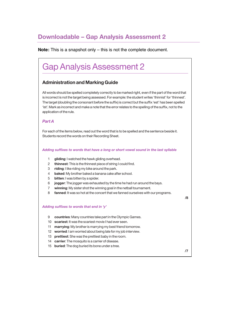#### Downloadable - Gap Analysis Assessment 2 adable – Gar Administration and Marking Guide

**Note:** This is a snapshot only – this is not the complete document.

# Gap Analysis Assessment 2

## Administration and Marking Guide

All words should be spelled completely correctly to be marked right, even if the part of the word that is incorrect is not the target being assessed. For example: the student writes 'thinnist' for 'thinnest'. The target (doubling the consonant before the suffix) is correct but the suffix 'est' has been spelled 'ist'. Mark as incorrect and make a note that the error relates to the spelling of the suffix, not to the application of the rule.

### Part A

For each of the items below, read out the word that is to be spelled and the sentence beside it. Students record the words on their Recording Sheet.

Adding suffixes to words that have a long or short vowel sound in the last syllable

- 1 **gliding:** I watched the hawk gliding overhead.
- 2 thinnest: This is the thinnest piece of string I could find.
- 3 riding: I like riding my bike around the park.
- 4 baked: My brother baked a banana cake after school.
- 5 bitten: I was bitten by a spider.
- 6 **jogger:** The jogger was exhausted by the time he had run around the bays.
- 7 winning: My sister shot the winning goal in the netball tournament.
- 8 fanned: It was so hot at the concert that we fanned ourselves with our programs.

/8

#### Adding suffixes to words that end in 'y'

- 9 countries: Many countries take part in the Olympic Games.
- 10 scariest: It was the scariest movie I had ever seen.
- 11 **marrying:** My brother is marrying my best friend tomorrow.
- 12 worried: I am worried about being late for my job interview.
- 13 **prettiest:** She was the prettiest baby in the room.
- 14 carrier: The mosquito is a carrier of disease.
- 15 **buried:** The dog buried its bone under a tree.

/7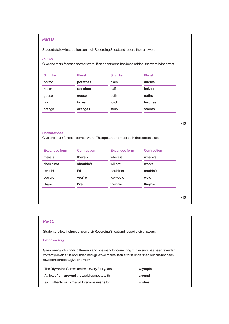### Part B

Students follow instructions on their Recording Sheet and record their answers.

#### Plurals

Give one mark for each correct word. If an apostrophe has been added, the word is incorrect.

| Singular | Plural   | Singular | Plural  |
|----------|----------|----------|---------|
| potato   | potatoes | diary    | diaries |
| radish   | radishes | half     | halves  |
| goose    | geese    | path     | paths   |
| fax      | faxes    | torch    | torches |
| orange   | oranges  | story    | stories |

#### **Contractions**

Give one mark for each correct word. The apostrophe must be in the correct place.

| <b>Expanded form</b> | Contraction | <b>Expanded form</b> | Contraction |
|----------------------|-------------|----------------------|-------------|
| there is             | there's     | where is             | where's     |
| should not           | shouldn't   | will not             | won't       |
| I would              | ľd          | could not            | couldn't    |
| you are              | you're      | we would             | we'd        |
| <b>I</b> have        | l've        | they are             | they're     |

### Part C

Students follow instructions on their Recording Sheet and record their answers.

#### **Proofreading**

Give one mark for finding the error and one mark for correcting it. If an error has been rewritten correctly (even if it is not underlined) give two marks. If an error is underlined but has not been rewritten correctly, give one mark.

| The <b>Olympick</b> Games are held every four years. | Olympic |
|------------------------------------------------------|---------|
| Athletes from <b>arownd</b> the world compete with   | around  |
| each other to win a medal. Everyone wishs for        | wishes  |

/10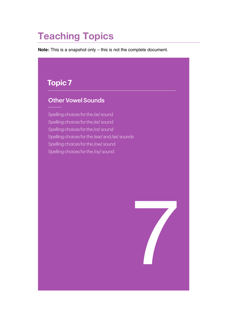# Teaching Topics

**Note:** This is a snapshot only – this is not the complete document.

# **Topic 7**

# Other Vowel Sounds

Spelling choices for the /ar/ sound Spelling choices for the /er/ sound Spelling choices for the /or/ sound Spelling choices for the /ear/ and /air/ sounds Spelling choices for the /ow/ sound Spelling choices for the /oy/ sound

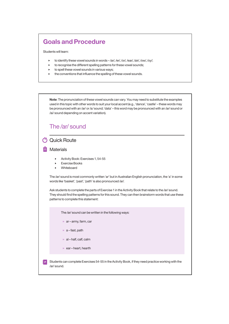# Goals and Procedure

Students will learn:

- to identify these vowel sounds in words /ar/, /er/, /or/, /ear/, /air/, /ow/, /oy/;
- to recognise the different spelling patterns for these vowel sounds;
- to spell these vowel sounds in various ways;
- the conventions that influence the spelling of these vowel sounds.

Note: The pronunciation of these vowel sounds can vary. You may need to substitute the examples used in this topic with other words to suit your local accent (e.g., 'dance', 'castle' – these words may be pronounced with an /ar/ or /a/ sound; 'data' – this word may be pronounced with an /ar/ sound or /ai/ sound depending on accent variation).

149<br>149 - Paul Barnett, amerikansk matematik<br>149 - Paul Barnett, amerikansk matematik

# The /ar/ sound

## Quick Route

### **Materials**

- Activity Book: Exercises 1, 54-55
- Exercise Books
- Whiteboard

The /ar/ sound is most commonly written 'ar' but in Australian English pronunciation, the 'a' in some words like 'basket', 'past', 'path' is also pronounced /ar/.

Ask students to complete the parts of Exercise 1 in the Activity Book that relate to the /ar/ sound. They should find the spelling patterns for this sound. They can then brainstorm words that use these patterns to complete this statement:

The /ar/ sound can be written in the following ways:

- $\gg$  ar army, farm, car
- $\gg$  a fast, path
- $\gg$  al half, calf, calm
- $\gg$  ear heart, hearth

Students can complete Exercises 54-55 in the Activity Book, if they need practice working with the È PI /ar/ sound.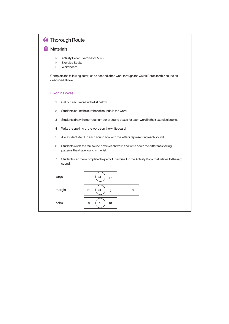| <b>Thorough Route</b>                                                                                                               |
|-------------------------------------------------------------------------------------------------------------------------------------|
| <b>Materials</b>                                                                                                                    |
| Activity Book: Exercises 1, 56-58<br>Þ<br><b>Exercise Books</b><br>k<br>Whiteboard<br>▶                                             |
| Complete the following activities as needed, then work through the Quick Route for this sound as<br>described above.                |
| <b>Elkonin Boxes</b>                                                                                                                |
| 1<br>Call out each word in the list below.                                                                                          |
| $\overline{c}$<br>Students count the number of sounds in the word.                                                                  |
| Students draw the correct number of sound boxes for each word in their exercise books.<br>3                                         |
| Write the spelling of the words on the whiteboard.<br>4                                                                             |
| 5<br>Ask students to fill in each sound box with the letters representing each sound.                                               |
| Students circle the /ar/ sound box in each word and write down the different spelling<br>6<br>patterns they have found in the list. |
| $\overline{7}$<br>Students can then complete the part of Exercise 1 in the Activity Book that relates to the /ar/<br>sound.         |
| L<br>large<br>ar<br>ge                                                                                                              |
| i<br>margin<br>ar<br>m<br>g<br>n                                                                                                    |
| calm<br>al<br>C<br>m                                                                                                                |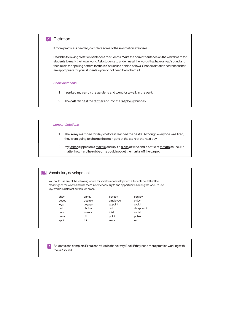#### **2** Dictation Dictation  $P$  more provided is needed, complete some of these dictation exercises.

If more practice is needed, complete some of these dictation exercises.

Read the following dictation sentences to students. Write the correct sentence on the whiteboard for nedd the renowing distancia sentences to stadents. While the concerts sentence on the wintespellia for<br>students to mark their own work. Ask students to underline all the words that have an /ar/ sound and etablished in the spelling pattern for the /ar/ sound (as bolded below). Choose dictation sentences that them circle the spelling pattern for the /ar/ sound (as bolded below). Choose dictation sentences that are appropriate for your students – you do not need to do them all.

#### Short dictations

- 1 I parked my car by the gardens and went for a walk in the park.
- 2 The calf ran past the farmer and into the raspberry bushes.

4 I can see a large star sparkling in the dark night.

Other Vowel Sounds

• Activity Book: Exercises 1, 59-61

#### $\emph{Longer dictionaries}$ One point for using 'oy' in the word 'enjoy' – 'e' 'n' 'j' 'oy'. (Write the word on the whiteboard

Spell-It Teaching Topic 7

152

- 1 The **army marched** for days before it reached the castle. Although everyone was tired, they were going to <u>charge</u> the main gate at the start of the next day.
	- 2 My <u>father</u> slipped on a <u>marble</u> and spilt a glass of wine and a bottle of <u>tomato</u> sauce. No  $\overline{\phantom{a}}$  ,  $\overline{\phantom{a}}$  ,  $\overline{\phantom{a}}$  in the word in the word of the case matter how <u>h**ar**d</u> he rubbed, he could not get the <u>m**ar**ks</u> off the <u>carpet</u>.

| <b>N</b> Vocabulary development           |         |          |                                                                                                                                                                                                   |  |
|-------------------------------------------|---------|----------|---------------------------------------------------------------------------------------------------------------------------------------------------------------------------------------------------|--|
| /oy/ words in different curriculum areas. |         |          | You could use any of the following words for vocabulary development. Students could find the<br>meanings of the words and use them in sentences. Try to find opportunities during the week to use |  |
| ahoy                                      | annoy   | boycott  | convoy                                                                                                                                                                                            |  |
| decoy                                     | destroy | employee | enjoy                                                                                                                                                                                             |  |
| loyal                                     | voyage  | appoint  | avoid                                                                                                                                                                                             |  |
| boil                                      | choice  | coin     | disappoint                                                                                                                                                                                        |  |
| hoist                                     | invoice | joist    | moist                                                                                                                                                                                             |  |
| noise                                     | oil     | point    | poison                                                                                                                                                                                            |  |
| spoil                                     | toil    | voice    | void                                                                                                                                                                                              |  |
|                                           |         |          |                                                                                                                                                                                                   |  |

Students can complete Exercises 56-58 in the Activity Book if they need more practice working with E P I the /ar/ sound.

As the parts of Exercise 1 in the parts of Exercise 1 in the Activity Book that relate to the  $\ell$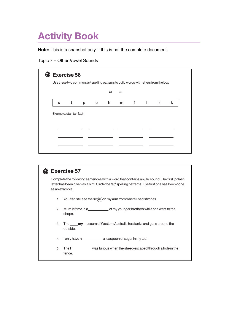## **Activity Book** 7 PUUN –

**Note:** This is a snapshot only – this is not the complete document.

# Topic 7 – Other Vowel Sounds

| ar<br>a<br>m f<br>t<br>$c \t h$<br><b>College</b><br>S.<br>p<br>Example: star, tar, fast | k<br>r |
|------------------------------------------------------------------------------------------|--------|
|                                                                                          |        |
|                                                                                          |        |
|                                                                                          |        |
|                                                                                          |        |
|                                                                                          |        |
|                                                                                          |        |
|                                                                                          |        |

|    | <b>Exercise 57</b>                                                                                                                                                                                                 |
|----|--------------------------------------------------------------------------------------------------------------------------------------------------------------------------------------------------------------------|
|    | Complete the following sentences with a word that contains an /ar/ sound. The first (or last)<br>letter has been given as a hint. Circle the /ar/ spelling patterns. The first one has been done<br>as an example. |
| 1. | You can still see the $s_{C(a)}$ on my arm from where I had stitches.                                                                                                                                              |
| 2. | shops.                                                                                                                                                                                                             |
| 3. | The <b>_____ my</b> museum of Western Australia has tanks and guns around the<br>outside.                                                                                                                          |
| 4. | $\frac{1}{2}$ lonly have <b>h</b> $\frac{1}{2}$ a teaspoon of sugar in my tea.                                                                                                                                     |
| 5. | The f______________ was furious when the sheep escaped through a hole in the<br>fence.                                                                                                                             |
|    |                                                                                                                                                                                                                    |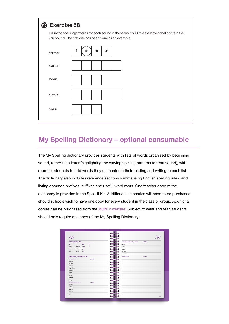

# My Spelling Dictionary – optional consumable

The My Spelling dictionary provides students with lists of words organised by beginning sound, rather than letter (highlighting the varying spelling patterns for that sound), with room for students to add words they encounter in their reading and writing to each list. The dictionary also includes reference sections summarising English spelling rules, and listing common prefixes, suffixes and useful word roots. One teacher copy of the dictionary is provided in the Spell-It Kit. Additional dictionaries will need to be purchased should schools wish to have one copy for every student in the class or group. Additional copies can be purchased from the MultiLit website. Subject to wear and tear, students should only require one copy of the My Spelling Dictionary.

| /V/                               |            |           |                                 | $\mathsf{\left\langle}\mathsf{V}\mathsf{\right\rangle}$ |
|-----------------------------------|------------|-----------|---------------------------------|---------------------------------------------------------|
| /v/can look like this             |            |           | Common academic words continued | Definition                                              |
| ve<br>$\mathbf{v}$                | f          | virtually |                                 |                                                         |
| caravan<br>very                   | of<br>have | visible   |                                 |                                                         |
| van<br>average                    | give       | visual    |                                 |                                                         |
| cavity<br>vest                    | love       | volume    |                                 |                                                         |
|                                   |            | voluntary |                                 |                                                         |
| Words beginning with /v/          |            |           | Other /w/words                  | Definition                                              |
| Words for writing                 | Definition |           |                                 |                                                         |
| vacuum                            |            |           |                                 |                                                         |
| valuable                          |            |           |                                 |                                                         |
| various                           |            |           |                                 |                                                         |
| vegetables                        |            |           |                                 |                                                         |
| violence                          |            |           |                                 |                                                         |
| visible                           |            |           |                                 |                                                         |
| visitor                           |            |           |                                 |                                                         |
| volcano                           |            |           |                                 |                                                         |
| voyage                            |            |           |                                 |                                                         |
| Common academic words<br>validity | Definition |           |                                 |                                                         |
| variables                         |            |           |                                 |                                                         |
| vehicle                           |            |           |                                 |                                                         |
| version                           |            |           |                                 |                                                         |
| via                               |            |           |                                 |                                                         |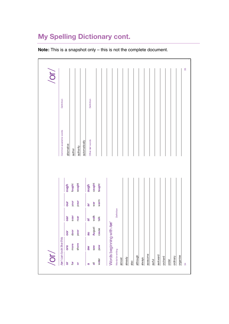# My Spelling Dictionary cont.

**Note:** This is a snapshot only – this is not the complete document.

| $\sqrt{2}$               |                         |                           |                     |      |        |                       |            | /or/ |
|--------------------------|-------------------------|---------------------------|---------------------|------|--------|-----------------------|------------|------|
|                          | /or/ can look like this |                           |                     |      |        | Common academic words | Definition |      |
| ŏ                        | ore                     | oor                       | oar                 | bur  | digno  | alternative           |            |      |
| $\mathbf{5}$             | more                    | $d$ oor                   | soar                | your | fought | author                |            |      |
| $\overleftarrow{\sigma}$ | shore                   | poor                      | roar                | pour | sought | authority             |            |      |
|                          |                         |                           |                     |      |        | automatically         |            |      |
| G                        | M                       | ue                        | $\overline{\sigma}$ | đ    | augh   | Other/or/words        | Definition |      |
| $\overline{5}$           | <b>Saw</b>              | <b>August</b>             | walk                | war  | caught |                       |            |      |
| water                    | paw                     | cause                     | talk                | warm | taught |                       |            |      |
|                          |                         | Words beginning with /or/ |                     |      |        |                       |            |      |
| Words for writing        |                         |                           | Definition          |      |        |                       |            |      |
| almost                   |                         |                           |                     |      |        |                       |            |      |
| already                  |                         |                           |                     |      |        |                       |            |      |
| also                     |                         |                           |                     |      |        |                       |            |      |
| although                 |                         |                           |                     |      |        |                       |            |      |
| always                   |                         |                           |                     |      |        |                       |            |      |
| awesome                  |                         |                           |                     |      |        |                       |            |      |
| awful                    |                         |                           |                     |      |        |                       |            |      |
| awkward                  |                         |                           |                     |      |        |                       |            |      |
| orchard                  |                         |                           |                     |      |        |                       |            |      |
| $order$                  |                         |                           |                     |      |        |                       |            |      |
| ordinary                 |                         |                           |                     |      |        |                       |            |      |
| organise                 |                         |                           |                     |      |        |                       |            |      |
| $\overline{3}$           |                         |                           |                     |      |        |                       |            | 35   |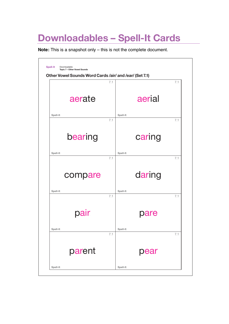# Downloadables – Spell-It Cards

**Note:** This is a snapshot only – this is not the complete document.